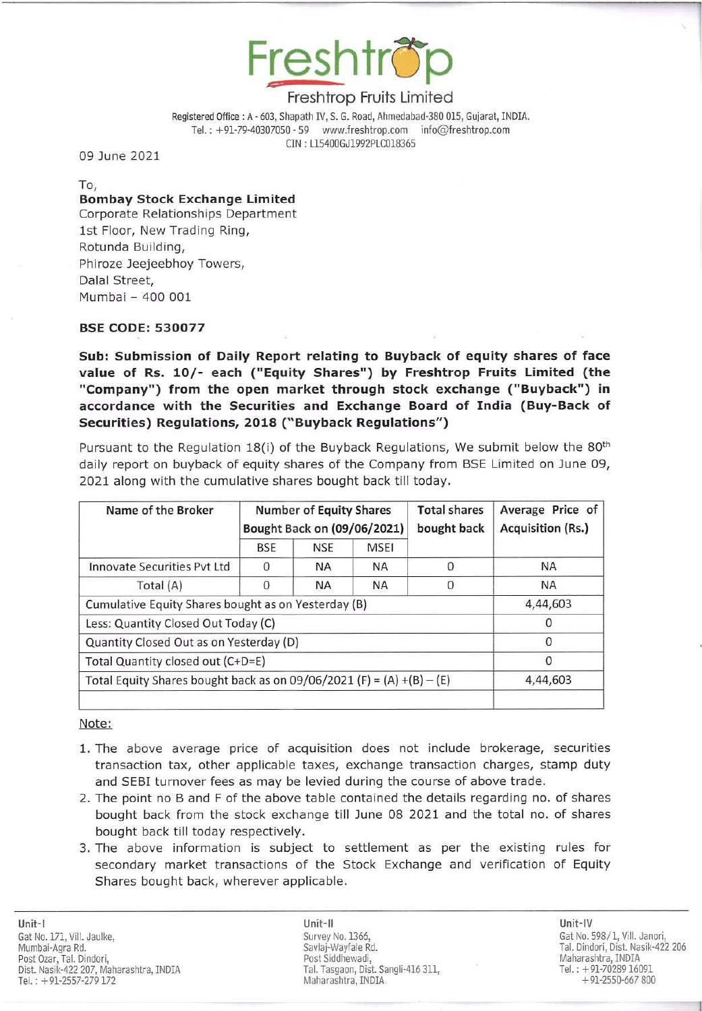

Registered Office: A· 603, Shapath IV, S. G. Road, Ahmedabad-J80 015, Gujarat, INDIA. Tel.: +91-79-40307050 - 59 www.freshtrop.com info@freshtrop.com eIN : L15400GJ1992PLC018365

09 June 2021

To,

# Bombay Stock Exchange Limited

Corporate Relationships Department 1st Floor, New Trading Ring, Rotunda Building, Phiroze Jeejeebhoy Towers, Dalal Street, Mumbai - 400 001

### BSE CODE: 530077

Sub: Submission of Daily Report relating to Buyback of equity shares of face value of Rs. 10/- each ("Equity Shares") by Freshtrop Fruits Limited (the "Company") from the open market through stock exchange ("Buyback") in accordance with the Securities and Exchange Board of India (Buy-Back of Securities) Regulations, 2018 ("Buyback Regulations")

Pursuant to the Regulation 18(i) of the Buyback Regulations, We submit below the 80<sup>th</sup> daily report on buyback of equity shares of the Company from BSE Limited on June 09, 2021 along with the cumulative shares bought back till today.

| Name of the Broker                                                    | <b>Number of Equity Shares</b><br>Bought Back on (09/06/2021) |            |             | <b>Total shares</b><br>bought back | Average Price of<br><b>Acquisition (Rs.)</b> |
|-----------------------------------------------------------------------|---------------------------------------------------------------|------------|-------------|------------------------------------|----------------------------------------------|
|                                                                       | <b>BSE</b>                                                    | <b>NSE</b> | <b>MSEI</b> |                                    |                                              |
| Innovate Securities Pyt Ltd                                           | 0                                                             | <b>NA</b>  | <b>NA</b>   | $\Omega$                           | <b>NA</b>                                    |
| Total (A)                                                             | 0                                                             | <b>NA</b>  | <b>NA</b>   | $\Omega$                           | <b>NA</b>                                    |
| Cumulative Equity Shares bought as on Yesterday (B)                   |                                                               |            |             |                                    | 4,44,603                                     |
| Less: Quantity Closed Out Today (C)                                   |                                                               |            |             |                                    | $\Omega$                                     |
| Quantity Closed Out as on Yesterday (D)                               |                                                               |            |             |                                    | $\Omega$                                     |
| Total Quantity closed out (C+D=E)                                     |                                                               |            |             |                                    | 0                                            |
| Total Equity Shares bought back as on 09/06/2021 (F) = (A) +(B) - (E) | 4,44,603                                                      |            |             |                                    |                                              |
|                                                                       |                                                               |            |             |                                    |                                              |

#### Note:

- 1. The above average price of acquisition does not include brokerage, securities transaction tax, other applicable taxes, exchange transaction charges, stamp duty and SEBI turnover fees as may be levied during the course of above trade.
- 2. The point no Band F of the above table contained the details regarding no . of shares bought back from the stock exchange till June 08 2021 and the total no. of shares bought back till today respectively.
- 3. The above information is subject to settlement as per the existing rules for secondary market transactions of the Stock Exchange and verification of Equity Shares bought back, wherever applicable.

Unit-II Unit-IV Survey No. 1366, Savlaj-Wayfale Rd. Post Siddhewadi, Tal. Tasgaon, Dist. Sangli-416 311. Maharashtra, INDIA